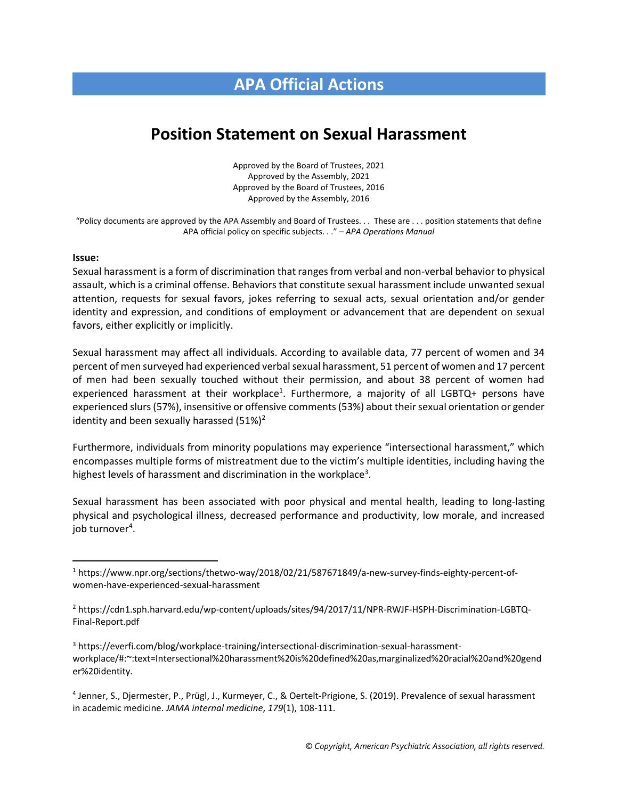## **APA Official Actions**

## **Position Statement on Sexual Harassment**

Approved by the Board of Trustees, 2021 Approved by the Assembly, 2021 Approved by the Board of Trustees, 2016 Approved by the Assembly, 2016

"Policy documents are approved by the APA Assembly and Board of Trustees. . . These are . . . position statements that define APA official policy on specific subjects. . ." – *APA Operations Manual*

## **Issue:**

Sexual harassment is a form of discrimination that ranges from verbal and non-verbal behavior to physical assault, which is a criminal offense. Behaviors that constitute sexual harassment include unwanted sexual attention, requests for sexual favors, jokes referring to sexual acts, sexual orientation and/or gender identity and expression, and conditions of employment or advancement that are dependent on sexual favors, either explicitly or implicitly.

Sexual harassment may affect all individuals. According to available data, 77 percent of women and 34 percent of men surveyed had experienced verbal sexual harassment, 51 percent of women and 17 percent of men had been sexually touched without their permission, and about 38 percent of women had experienced harassment at their workplace<sup>1</sup>. Furthermore, a majority of all LGBTQ+ persons have experienced slurs (57%), insensitive or offensive comments (53%) about their sexual orientation or gender identity and been sexually harassed  $(51\%)^2$ 

Furthermore, individuals from minority populations may experience "intersectional harassment," which encompasses multiple forms of mistreatment due to the victim's multiple identities, including having the highest levels of harassment and discrimination in the workplace<sup>3</sup>.

Sexual harassment has been associated with poor physical and mental health, leading to long-lasting physical and psychological illness, decreased performance and productivity, low morale, and increased job turnover<sup>4</sup> .

4 Jenner, S., Djermester, P., Prügl, J., Kurmeyer, C., & Oertelt-Prigione, S. (2019). Prevalence of sexual harassment in academic medicine. *JAMA internal medicine*, *179*(1), 108-111.

<sup>1</sup> https://www.npr.org/sections/thetwo-way/2018/02/21/587671849/a-new-survey-finds-eighty-percent-ofwomen-have-experienced-sexual-harassment

<sup>2</sup> https://cdn1.sph.harvard.edu/wp-content/uploads/sites/94/2017/11/NPR-RWJF-HSPH-Discrimination-LGBTQ-Final-Report.pdf

<sup>3</sup> https://everfi.com/blog/workplace-training/intersectional-discrimination-sexual-harassmentworkplace/#:~:text=Intersectional%20harassment%20is%20defined%20as,marginalized%20racial%20and%20gend er%20identity.